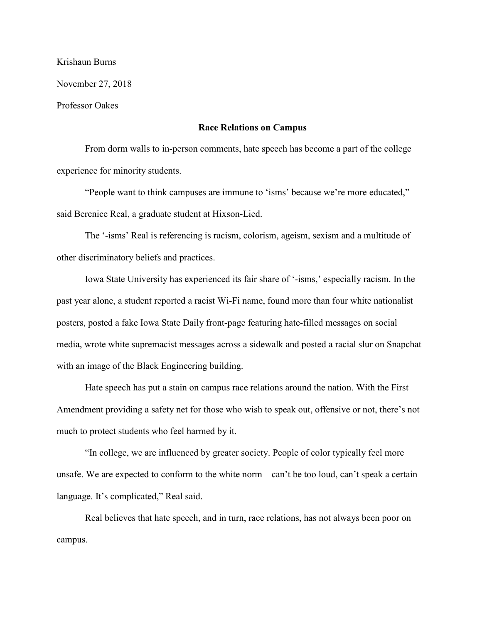Krishaun Burns

November 27, 2018

Professor Oakes

## **Race Relations on Campus**

From dorm walls to in-person comments, hate speech has become a part of the college experience for minority students.

"People want to think campuses are immune to 'isms' because we're more educated," said Berenice Real, a graduate student at Hixson-Lied.

The '-isms' Real is referencing is racism, colorism, ageism, sexism and a multitude of other discriminatory beliefs and practices.

Iowa State University has experienced its fair share of '-isms,' especially racism. In the past year alone, a student reported a racist Wi-Fi name, found more than four white nationalist posters, posted a fake Iowa State Daily front-page featuring hate-filled messages on social media, wrote white supremacist messages across a sidewalk and posted a racial slur on Snapchat with an image of the Black Engineering building.

Hate speech has put a stain on campus race relations around the nation. With the First Amendment providing a safety net for those who wish to speak out, offensive or not, there's not much to protect students who feel harmed by it.

"In college, we are influenced by greater society. People of color typically feel more unsafe. We are expected to conform to the white norm—can't be too loud, can't speak a certain language. It's complicated," Real said.

Real believes that hate speech, and in turn, race relations, has not always been poor on campus.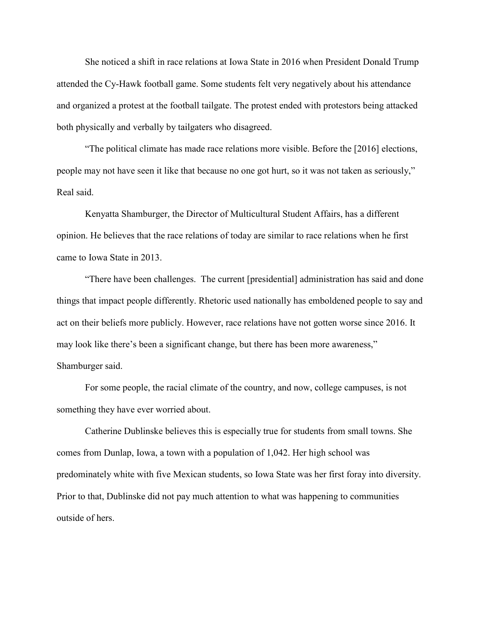She noticed a shift in race relations at Iowa State in 2016 when President Donald Trump attended the Cy-Hawk football game. Some students felt very negatively about his attendance and organized a protest at the football tailgate. The protest ended with protestors being attacked both physically and verbally by tailgaters who disagreed.

"The political climate has made race relations more visible. Before the [2016] elections, people may not have seen it like that because no one got hurt, so it was not taken as seriously," Real said.

Kenyatta Shamburger, the Director of Multicultural Student Affairs, has a different opinion. He believes that the race relations of today are similar to race relations when he first came to Iowa State in 2013.

"There have been challenges. The current [presidential] administration has said and done things that impact people differently. Rhetoric used nationally has emboldened people to say and act on their beliefs more publicly. However, race relations have not gotten worse since 2016. It may look like there's been a significant change, but there has been more awareness," Shamburger said.

For some people, the racial climate of the country, and now, college campuses, is not something they have ever worried about.

Catherine Dublinske believes this is especially true for students from small towns. She comes from Dunlap, Iowa, a town with a population of 1,042. Her high school was predominately white with five Mexican students, so Iowa State was her first foray into diversity. Prior to that, Dublinske did not pay much attention to what was happening to communities outside of hers.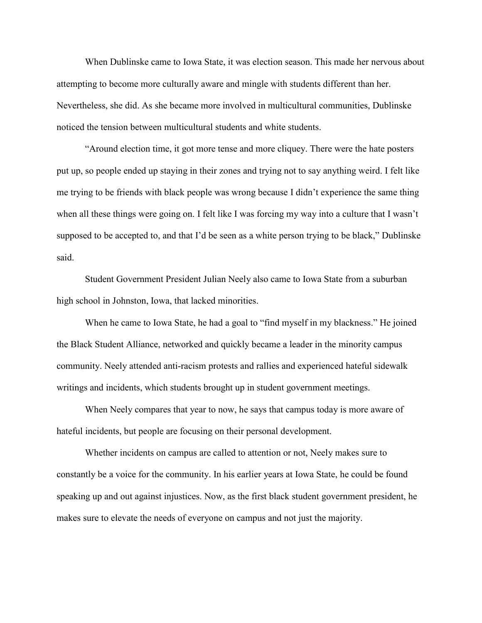When Dublinske came to Iowa State, it was election season. This made her nervous about attempting to become more culturally aware and mingle with students different than her. Nevertheless, she did. As she became more involved in multicultural communities, Dublinske noticed the tension between multicultural students and white students.

"Around election time, it got more tense and more cliquey. There were the hate posters put up, so people ended up staying in their zones and trying not to say anything weird. I felt like me trying to be friends with black people was wrong because I didn't experience the same thing when all these things were going on. I felt like I was forcing my way into a culture that I wasn't supposed to be accepted to, and that I'd be seen as a white person trying to be black," Dublinske said.

Student Government President Julian Neely also came to Iowa State from a suburban high school in Johnston, Iowa, that lacked minorities.

When he came to Iowa State, he had a goal to "find myself in my blackness." He joined the Black Student Alliance, networked and quickly became a leader in the minority campus community. Neely attended anti-racism protests and rallies and experienced hateful sidewalk writings and incidents, which students brought up in student government meetings.

When Neely compares that year to now, he says that campus today is more aware of hateful incidents, but people are focusing on their personal development.

Whether incidents on campus are called to attention or not, Neely makes sure to constantly be a voice for the community. In his earlier years at Iowa State, he could be found speaking up and out against injustices. Now, as the first black student government president, he makes sure to elevate the needs of everyone on campus and not just the majority.